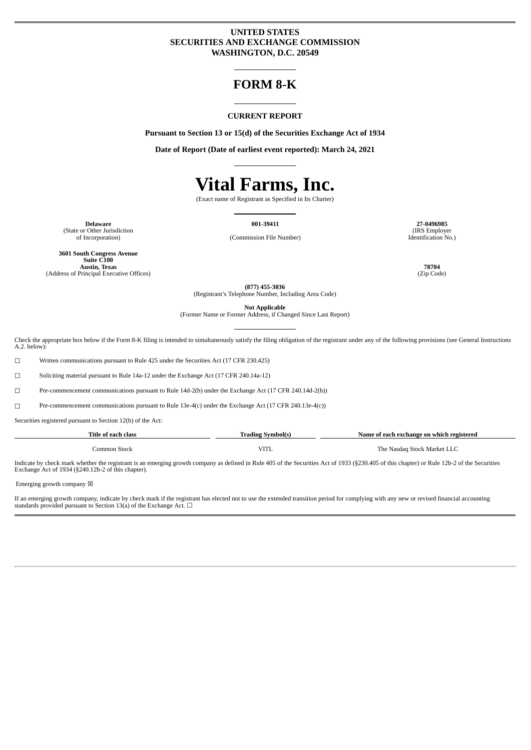# **UNITED STATES SECURITIES AND EXCHANGE COMMISSION WASHINGTON, D.C. 20549**

# **FORM 8-K**

#### **CURRENT REPORT**

**Pursuant to Section 13 or 15(d) of the Securities Exchange Act of 1934**

**Date of Report (Date of earliest event reported): March 24, 2021**

# **Vital Farms, Inc.**

(Exact name of Registrant as Specified in Its Charter)

**Delaware 001-39411 27-0496985** (State or Other Jurisdiction<br>of Incorporation)

(Commission File Number)

**3601 South Congress Avenue Suite C100 Austin, Texas 78704** (Address of Principal Executive Offices)

(IRS Employer Identification No.)

**(877) 455-3036** (Registrant's Telephone Number, Including Area Code)

**Not Applicable** (Former Name or Former Address, if Changed Since Last Report)

Check the appropriate box below if the Form 8-K filing is intended to simultaneously satisfy the filing obligation of the registrant under any of the following provisions (see General Instructions A.2. below):

☐ Written communications pursuant to Rule 425 under the Securities Act (17 CFR 230.425)

☐ Soliciting material pursuant to Rule 14a-12 under the Exchange Act (17 CFR 240.14a-12)

☐ Pre-commencement communications pursuant to Rule 14d-2(b) under the Exchange Act (17 CFR 240.14d-2(b))

☐ Pre-commencement communications pursuant to Rule 13e-4(c) under the Exchange Act (17 CFR 240.13e-4(c))

Securities registered pursuant to Section 12(b) of the Act:

| Title of each class | Trading Svmbol(s) |                             |  |
|---------------------|-------------------|-----------------------------|--|
| Common Stock        | <b>VITL</b>       | The Nasdag Stock Market LLC |  |

Indicate by check mark whether the registrant is an emerging growth company as defined in Rule 405 of the Securities Act of 1933 (§230.405 of this chapter) or Rule 12b-2 of the Securities Exchange Act of 1934 (§240.12b-2 of this chapter).

Emerging growth company  $\boxtimes$ 

If an emerging growth company, indicate by check mark if the registrant has elected not to use the extended transition period for complying with any new or revised financial accounting standards provided pursuant to Section 13(a) of the Exchange Act.  $\Box$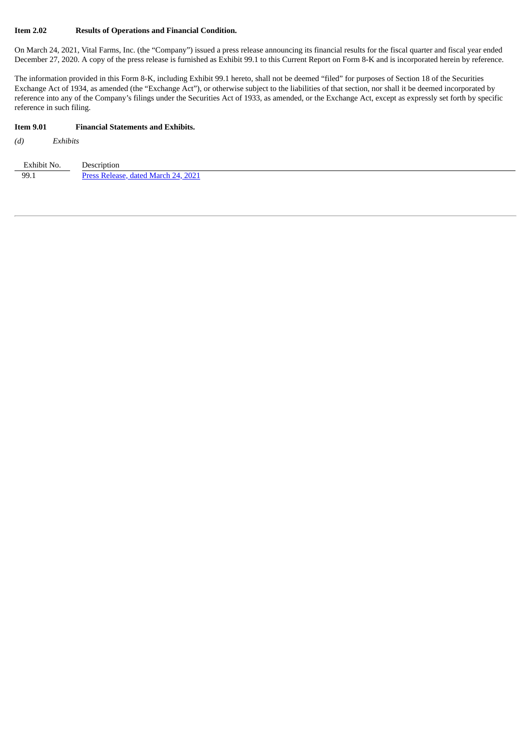#### **Item 2.02 Results of Operations and Financial Condition.**

On March 24, 2021, Vital Farms, Inc. (the "Company") issued a press release announcing its financial results for the fiscal quarter and fiscal year ended December 27, 2020. A copy of the press release is furnished as Exhibit 99.1 to this Current Report on Form 8-K and is incorporated herein by reference.

The information provided in this Form 8-K, including Exhibit 99.1 hereto, shall not be deemed "filed" for purposes of Section 18 of the Securities Exchange Act of 1934, as amended (the "Exchange Act"), or otherwise subject to the liabilities of that section, nor shall it be deemed incorporated by reference into any of the Company's filings under the Securities Act of 1933, as amended, or the Exchange Act, except as expressly set forth by specific reference in such filing.

#### **Item 9.01 Financial Statements and Exhibits.**

*(d) Exhibits*

| Exhibit No. | Description                              |
|-------------|------------------------------------------|
| 99.1        | 2021<br>Drace Ralagea<br>dated March 24. |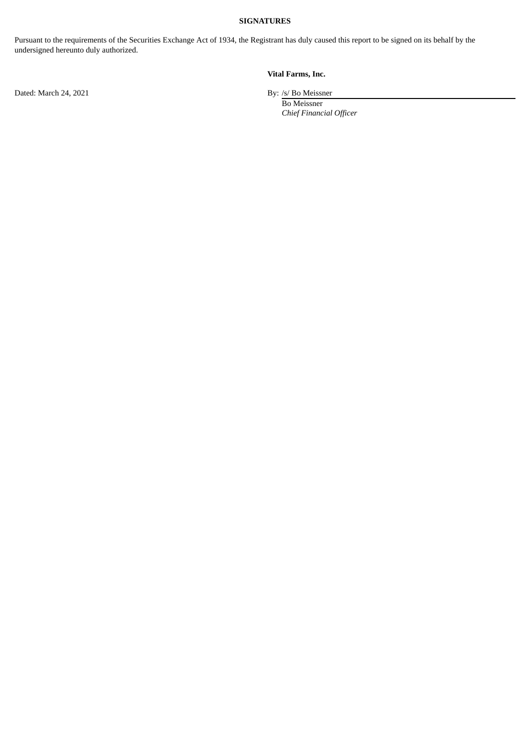## **SIGNATURES**

Pursuant to the requirements of the Securities Exchange Act of 1934, the Registrant has duly caused this report to be signed on its behalf by the undersigned hereunto duly authorized.

# **Vital Farms, Inc.**

Dated: March 24, 2021 By: /s/ Bo Meissner

Bo Meissner *Chief Financial Officer*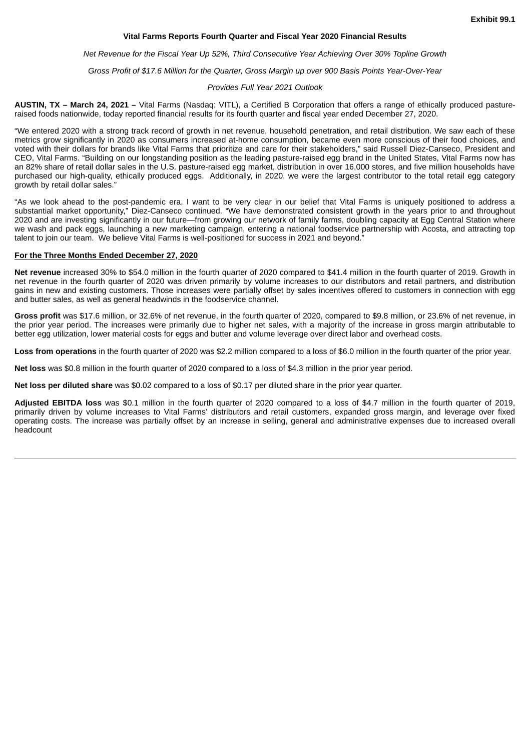#### **Vital Farms Reports Fourth Quarter and Fiscal Year 2020 Financial Results**

<span id="page-3-0"></span>*Net Revenue for the Fiscal Year Up 52%, Third Consecutive Year Achieving Over 30% Topline Growth*

*Gross Profit of \$17.6 Million for the Quarter, Gross Margin up over 900 Basis Points Year-Over-Year*

#### *Provides Full Year 2021 Outlook*

**AUSTIN, TX – March 24, 2021 –** Vital Farms (Nasdaq: VITL), a Certified B Corporation that offers a range of ethically produced pastureraised foods nationwide, today reported financial results for its fourth quarter and fiscal year ended December 27, 2020.

"We entered 2020 with a strong track record of growth in net revenue, household penetration, and retail distribution. We saw each of these metrics grow significantly in 2020 as consumers increased at-home consumption, became even more conscious of their food choices, and voted with their dollars for brands like Vital Farms that prioritize and care for their stakeholders," said Russell Diez-Canseco, President and CEO, Vital Farms. "Building on our longstanding position as the leading pasture-raised egg brand in the United States, Vital Farms now has an 82% share of retail dollar sales in the U.S. pasture-raised egg market, distribution in over 16,000 stores, and five million households have purchased our high-quality, ethically produced eggs. Additionally, in 2020, we were the largest contributor to the total retail egg category growth by retail dollar sales."

"As we look ahead to the post-pandemic era, I want to be very clear in our belief that Vital Farms is uniquely positioned to address a substantial market opportunity," Diez-Canseco continued. "We have demonstrated consistent growth in the years prior to and throughout 2020 and are investing significantly in our future—from growing our network of family farms, doubling capacity at Egg Central Station where we wash and pack eggs, launching a new marketing campaign, entering a national foodservice partnership with Acosta, and attracting top talent to join our team. We believe Vital Farms is well-positioned for success in 2021 and beyond."

#### **For the Three Months Ended December 27, 2020**

**Net revenue** increased 30% to \$54.0 million in the fourth quarter of 2020 compared to \$41.4 million in the fourth quarter of 2019. Growth in net revenue in the fourth quarter of 2020 was driven primarily by volume increases to our distributors and retail partners, and distribution gains in new and existing customers. Those increases were partially offset by sales incentives offered to customers in connection with egg and butter sales, as well as general headwinds in the foodservice channel.

**Gross profit** was \$17.6 million, or 32.6% of net revenue, in the fourth quarter of 2020, compared to \$9.8 million, or 23.6% of net revenue, in the prior year period. The increases were primarily due to higher net sales, with a majority of the increase in gross margin attributable to better egg utilization, lower material costs for eggs and butter and volume leverage over direct labor and overhead costs.

**Loss from operations** in the fourth quarter of 2020 was \$2.2 million compared to a loss of \$6.0 million in the fourth quarter of the prior year.

**Net loss** was \$0.8 million in the fourth quarter of 2020 compared to a loss of \$4.3 million in the prior year period.

**Net loss per diluted share** was \$0.02 compared to a loss of \$0.17 per diluted share in the prior year quarter.

**Adjusted EBITDA loss** was \$0.1 million in the fourth quarter of 2020 compared to a loss of \$4.7 million in the fourth quarter of 2019, primarily driven by volume increases to Vital Farms' distributors and retail customers, expanded gross margin, and leverage over fixed operating costs. The increase was partially offset by an increase in selling, general and administrative expenses due to increased overall headcount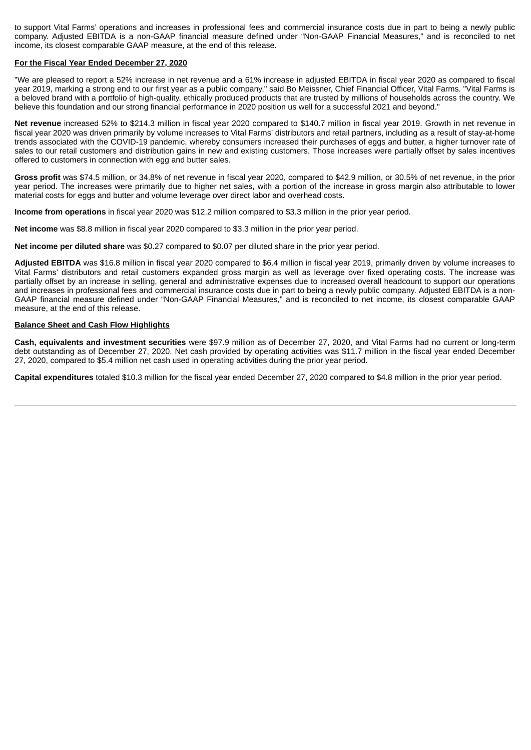to support Vital Farms' operations and increases in professional fees and commercial insurance costs due in part to being a newly public company. Adjusted EBITDA is a non-GAAP financial measure defined under "Non-GAAP Financial Measures," and is reconciled to net income, its closest comparable GAAP measure, at the end of this release.

#### **For the Fiscal Year Ended December 27, 2020**

"We are pleased to report a 52% increase in net revenue and a 61% increase in adjusted EBITDA in fiscal year 2020 as compared to fiscal year 2019, marking a strong end to our first year as a public company," said Bo Meissner, Chief Financial Officer, Vital Farms. "Vital Farms is a beloved brand with a portfolio of high-quality, ethically produced products that are trusted by millions of households across the country. We believe this foundation and our strong financial performance in 2020 position us well for a successful 2021 and beyond."

**Net revenue** increased 52% to \$214.3 million in fiscal year 2020 compared to \$140.7 million in fiscal year 2019. Growth in net revenue in fiscal year 2020 was driven primarily by volume increases to Vital Farms' distributors and retail partners, including as a result of stay-at-home trends associated with the COVID-19 pandemic, whereby consumers increased their purchases of eggs and butter, a higher turnover rate of sales to our retail customers and distribution gains in new and existing customers. Those increases were partially offset by sales incentives offered to customers in connection with egg and butter sales.

**Gross profit** was \$74.5 million, or 34.8% of net revenue in fiscal year 2020, compared to \$42.9 million, or 30.5% of net revenue, in the prior year period. The increases were primarily due to higher net sales, with a portion of the increase in gross margin also attributable to lower material costs for eggs and butter and volume leverage over direct labor and overhead costs.

**Income from operations** in fiscal year 2020 was \$12.2 million compared to \$3.3 million in the prior year period.

**Net income** was \$8.8 million in fiscal year 2020 compared to \$3.3 million in the prior year period.

**Net income per diluted share** was \$0.27 compared to \$0.07 per diluted share in the prior year period.

**Adjusted EBITDA** was \$16.8 million in fiscal year 2020 compared to \$6.4 million in fiscal year 2019, primarily driven by volume increases to Vital Farms' distributors and retail customers expanded gross margin as well as leverage over fixed operating costs. The increase was partially offset by an increase in selling, general and administrative expenses due to increased overall headcount to support our operations and increases in professional fees and commercial insurance costs due in part to being a newly public company. Adjusted EBITDA is a non-GAAP financial measure defined under "Non-GAAP Financial Measures," and is reconciled to net income, its closest comparable GAAP measure, at the end of this release.

#### **Balance Sheet and Cash Flow Highlights**

**Cash, equivalents and investment securities** were \$97.9 million as of December 27, 2020, and Vital Farms had no current or long-term debt outstanding as of December 27, 2020. Net cash provided by operating activities was \$11.7 million in the fiscal year ended December 27, 2020, compared to \$5.4 million net cash used in operating activities during the prior year period.

**Capital expenditures** totaled \$10.3 million for the fiscal year ended December 27, 2020 compared to \$4.8 million in the prior year period.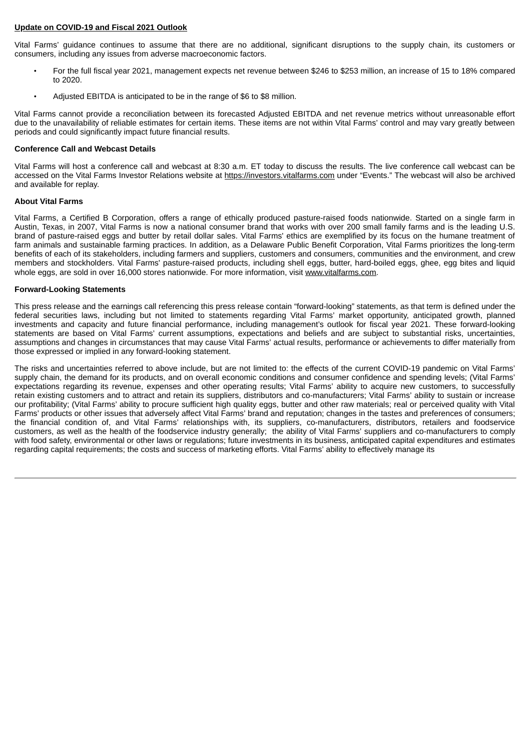#### **Update on COVID-19 and Fiscal 2021 Outlook**

Vital Farms' guidance continues to assume that there are no additional, significant disruptions to the supply chain, its customers or consumers, including any issues from adverse macroeconomic factors.

- For the full fiscal year 2021, management expects net revenue between \$246 to \$253 million, an increase of 15 to 18% compared to 2020.
- Adjusted EBITDA is anticipated to be in the range of \$6 to \$8 million.

Vital Farms cannot provide a reconciliation between its forecasted Adjusted EBITDA and net revenue metrics without unreasonable effort due to the unavailability of reliable estimates for certain items. These items are not within Vital Farms' control and may vary greatly between periods and could significantly impact future financial results.

#### **Conference Call and Webcast Details**

Vital Farms will host a conference call and webcast at 8:30 a.m. ET today to discuss the results. The live conference call webcast can be accessed on the Vital Farms Investor Relations website at https://investors.vitalfarms.com under "Events." The webcast will also be archived and available for replay.

### **About Vital Farms**

Vital Farms, a Certified B Corporation, offers a range of ethically produced pasture-raised foods nationwide. Started on a single farm in Austin, Texas, in 2007, Vital Farms is now a national consumer brand that works with over 200 small family farms and is the leading U.S. brand of pasture-raised eggs and butter by retail dollar sales. Vital Farms' ethics are exemplified by its focus on the humane treatment of farm animals and sustainable farming practices. In addition, as a Delaware Public Benefit Corporation, Vital Farms prioritizes the long-term benefits of each of its stakeholders, including farmers and suppliers, customers and consumers, communities and the environment, and crew members and stockholders. Vital Farms' pasture-raised products, including shell eggs, butter, hard-boiled eggs, ghee, egg bites and liquid whole eggs, are sold in over 16,000 stores nationwide. For more information, visit www.vitalfarms.com.

#### **Forward-Looking Statements**

This press release and the earnings call referencing this press release contain "forward-looking" statements, as that term is defined under the federal securities laws, including but not limited to statements regarding Vital Farms' market opportunity, anticipated growth, planned investments and capacity and future financial performance, including management's outlook for fiscal year 2021. These forward-looking statements are based on Vital Farms' current assumptions, expectations and beliefs and are subject to substantial risks, uncertainties, assumptions and changes in circumstances that may cause Vital Farms' actual results, performance or achievements to differ materially from those expressed or implied in any forward-looking statement.

The risks and uncertainties referred to above include, but are not limited to: the effects of the current COVID-19 pandemic on Vital Farms' supply chain, the demand for its products, and on overall economic conditions and consumer confidence and spending levels; (Vital Farms' expectations regarding its revenue, expenses and other operating results; Vital Farms' ability to acquire new customers, to successfully retain existing customers and to attract and retain its suppliers, distributors and co-manufacturers; Vital Farms' ability to sustain or increase our profitability; (Vital Farms' ability to procure sufficient high quality eggs, butter and other raw materials; real or perceived quality with Vital Farms' products or other issues that adversely affect Vital Farms' brand and reputation; changes in the tastes and preferences of consumers; the financial condition of, and Vital Farms' relationships with, its suppliers, co-manufacturers, distributors, retailers and foodservice customers, as well as the health of the foodservice industry generally; the ability of Vital Farms' suppliers and co-manufacturers to comply with food safety, environmental or other laws or regulations; future investments in its business, anticipated capital expenditures and estimates regarding capital requirements; the costs and success of marketing efforts. Vital Farms' ability to effectively manage its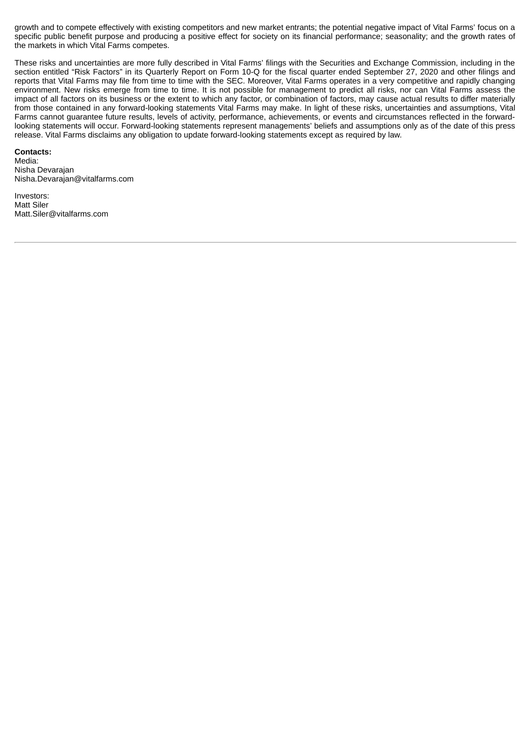growth and to compete effectively with existing competitors and new market entrants; the potential negative impact of Vital Farms' focus on a specific public benefit purpose and producing a positive effect for society on its financial performance; seasonality; and the growth rates of the markets in which Vital Farms competes.

These risks and uncertainties are more fully described in Vital Farms' filings with the Securities and Exchange Commission, including in the section entitled "Risk Factors" in its Quarterly Report on Form 10-Q for the fiscal quarter ended September 27, 2020 and other filings and reports that Vital Farms may file from time to time with the SEC. Moreover, Vital Farms operates in a very competitive and rapidly changing environment. New risks emerge from time to time. It is not possible for management to predict all risks, nor can Vital Farms assess the impact of all factors on its business or the extent to which any factor, or combination of factors, may cause actual results to differ materially from those contained in any forward-looking statements Vital Farms may make. In light of these risks, uncertainties and assumptions, Vital Farms cannot guarantee future results, levels of activity, performance, achievements, or events and circumstances reflected in the forwardlooking statements will occur. Forward-looking statements represent managements' beliefs and assumptions only as of the date of this press release. Vital Farms disclaims any obligation to update forward-looking statements except as required by law.

#### **Contacts:**

Media: Nisha Devarajan Nisha.Devarajan@vitalfarms.com

Investors: Matt Siler Matt.Siler@vitalfarms.com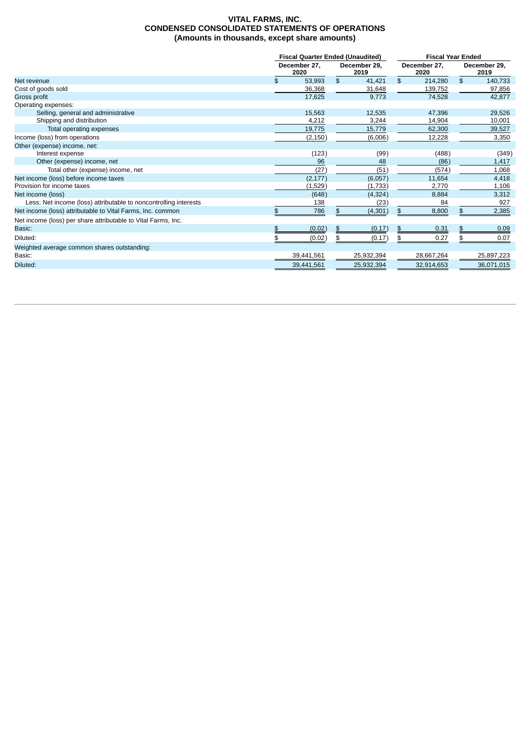#### **VITAL FARMS, INC. CONDENSED CONSOLIDATED STATEMENTS OF OPERATIONS (Amounts in thousands, except share amounts)**

|                                                                  |                      | <b>Fiscal Quarter Ended (Unaudited)</b> |                      |            | <b>Fiscal Year Ended</b> |            |                      |            |
|------------------------------------------------------------------|----------------------|-----------------------------------------|----------------------|------------|--------------------------|------------|----------------------|------------|
|                                                                  | December 27,<br>2020 |                                         | December 29.<br>2019 |            | December 27,<br>2020     |            | December 29,<br>2019 |            |
| Net revenue                                                      | \$                   | 53,993                                  | \$                   | 41,421     | \$                       | 214,280    | \$                   | 140,733    |
| Cost of goods sold                                               |                      | 36,368                                  |                      | 31,648     |                          | 139,752    |                      | 97,856     |
| Gross profit                                                     |                      | 17,625                                  |                      | 9,773      |                          | 74,528     |                      | 42,877     |
| Operating expenses:                                              |                      |                                         |                      |            |                          |            |                      |            |
| Selling, general and administrative                              |                      | 15,563                                  |                      | 12,535     |                          | 47.396     |                      | 29,526     |
| Shipping and distribution                                        |                      | 4,212                                   |                      | 3,244      |                          | 14,904     |                      | 10,001     |
| Total operating expenses                                         |                      | 19,775                                  |                      | 15,779     |                          | 62,300     |                      | 39,527     |
| Income (loss) from operations                                    |                      | (2, 150)                                |                      | (6,006)    |                          | 12,228     |                      | 3,350      |
| Other (expense) income, net:                                     |                      |                                         |                      |            |                          |            |                      |            |
| Interest expense                                                 |                      | (123)                                   |                      | (99)       |                          | (488)      |                      | (349)      |
| Other (expense) income, net                                      |                      | 96                                      |                      | 48         |                          | (86)       |                      | 1,417      |
| Total other (expense) income, net                                |                      | (27)                                    |                      | (51)       |                          | (574)      |                      | 1,068      |
| Net income (loss) before income taxes                            |                      | (2, 177)                                |                      | (6,057)    |                          | 11,654     |                      | 4,418      |
| Provision for income taxes                                       |                      | (1,529)                                 |                      | (1,733)    |                          | 2,770      |                      | 1,106      |
| Net income (loss)                                                |                      | (648)                                   |                      | (4, 324)   |                          | 8,884      |                      | 3,312      |
| Less: Net income (loss) attributable to noncontrolling interests |                      | 138                                     |                      | (23)       |                          | 84         |                      | 927        |
| Net income (loss) attributable to Vital Farms, Inc. common       |                      | 786                                     | \$                   | (4, 301)   | \$                       | 8,800      | \$.                  | 2,385      |
| Net income (loss) per share attributable to Vital Farms, Inc.    |                      |                                         |                      |            |                          |            |                      |            |
| Basic:                                                           |                      | (0.02)                                  | \$                   | (0.17)     |                          | 0.31       |                      | 0.09       |
| Diluted:                                                         |                      | (0.02)                                  |                      | (0.17)     |                          | 0.27       |                      | 0.07       |
| Weighted average common shares outstanding:                      |                      |                                         |                      |            |                          |            |                      |            |
| Basic:                                                           |                      | 39,441,561                              |                      | 25,932,394 |                          | 28,667,264 |                      | 25,897,223 |
| Diluted:                                                         |                      | 39,441,561                              |                      | 25,932,394 |                          | 32,914,653 |                      | 36,071,015 |
|                                                                  |                      |                                         |                      |            |                          |            |                      |            |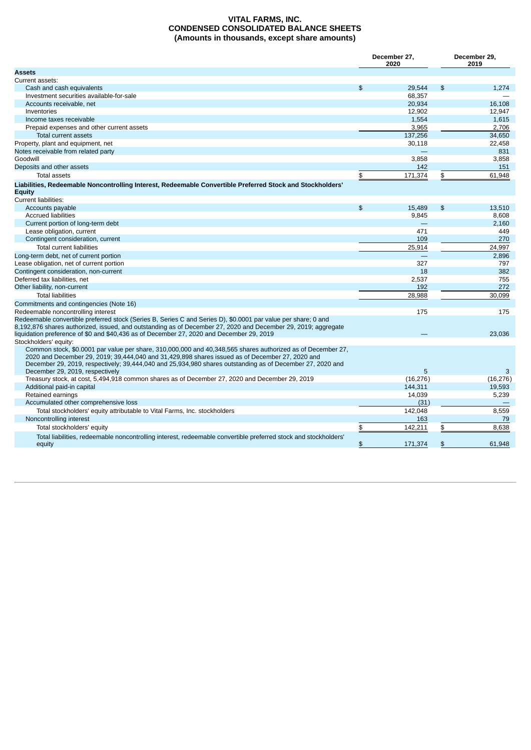#### **VITAL FARMS, INC. CONDENSED CONSOLIDATED BALANCE SHEETS (Amounts in thousands, except share amounts)**

|                                                                                                                                                                                                                                                                                                                                                                | December 27,<br>2020 |           |                | December 29,<br>2019 |  |  |
|----------------------------------------------------------------------------------------------------------------------------------------------------------------------------------------------------------------------------------------------------------------------------------------------------------------------------------------------------------------|----------------------|-----------|----------------|----------------------|--|--|
| <b>Assets</b>                                                                                                                                                                                                                                                                                                                                                  |                      |           |                |                      |  |  |
| Current assets:                                                                                                                                                                                                                                                                                                                                                |                      |           |                |                      |  |  |
| Cash and cash equivalents                                                                                                                                                                                                                                                                                                                                      | $\mathfrak{L}$       | 29.544    | $\mathfrak{S}$ | 1,274                |  |  |
| Investment securities available-for-sale                                                                                                                                                                                                                                                                                                                       |                      | 68.357    |                |                      |  |  |
| Accounts receivable, net                                                                                                                                                                                                                                                                                                                                       |                      | 20.934    |                | 16.108               |  |  |
| Inventories                                                                                                                                                                                                                                                                                                                                                    |                      | 12,902    |                | 12,947               |  |  |
| Income taxes receivable                                                                                                                                                                                                                                                                                                                                        |                      | 1,554     |                | 1,615                |  |  |
| Prepaid expenses and other current assets                                                                                                                                                                                                                                                                                                                      |                      | 3,965     |                | 2,706                |  |  |
| Total current assets                                                                                                                                                                                                                                                                                                                                           |                      | 137,256   |                | 34.650               |  |  |
| Property, plant and equipment, net                                                                                                                                                                                                                                                                                                                             |                      | 30,118    |                | 22,458               |  |  |
| Notes receivable from related party                                                                                                                                                                                                                                                                                                                            |                      |           |                | 831                  |  |  |
| Goodwill                                                                                                                                                                                                                                                                                                                                                       |                      | 3,858     |                | 3,858                |  |  |
| Deposits and other assets                                                                                                                                                                                                                                                                                                                                      |                      | 142       |                | 151                  |  |  |
| <b>Total assets</b>                                                                                                                                                                                                                                                                                                                                            | \$                   | 171,374   | \$             | 61,948               |  |  |
| Liabilities, Redeemable Noncontrolling Interest, Redeemable Convertible Preferred Stock and Stockholders'<br><b>Equity</b>                                                                                                                                                                                                                                     |                      |           |                |                      |  |  |
| <b>Current liabilities:</b>                                                                                                                                                                                                                                                                                                                                    |                      |           |                |                      |  |  |
| Accounts payable                                                                                                                                                                                                                                                                                                                                               | $\mathfrak{L}$       | 15,489    | \$             | 13,510               |  |  |
| <b>Accrued liabilities</b>                                                                                                                                                                                                                                                                                                                                     |                      | 9,845     |                | 8,608                |  |  |
| Current portion of long-term debt                                                                                                                                                                                                                                                                                                                              |                      |           |                | 2,160                |  |  |
| Lease obligation, current                                                                                                                                                                                                                                                                                                                                      |                      | 471       |                | 449                  |  |  |
| Contingent consideration, current                                                                                                                                                                                                                                                                                                                              |                      | 109       |                | 270                  |  |  |
| Total current liabilities                                                                                                                                                                                                                                                                                                                                      |                      | 25,914    |                | 24,997               |  |  |
| Long-term debt, net of current portion                                                                                                                                                                                                                                                                                                                         |                      | $\equiv$  |                | 2.896                |  |  |
| Lease obligation, net of current portion                                                                                                                                                                                                                                                                                                                       |                      | 327       |                | 797                  |  |  |
| Contingent consideration, non-current                                                                                                                                                                                                                                                                                                                          |                      | 18        |                | 382                  |  |  |
| Deferred tax liabilities, net                                                                                                                                                                                                                                                                                                                                  |                      | 2,537     |                | 755                  |  |  |
| Other liability, non-current                                                                                                                                                                                                                                                                                                                                   |                      | 192       |                | 272                  |  |  |
| <b>Total liabilities</b>                                                                                                                                                                                                                                                                                                                                       |                      | 28,988    |                | 30,099               |  |  |
| Commitments and contingencies (Note 16)                                                                                                                                                                                                                                                                                                                        |                      |           |                |                      |  |  |
| Redeemable noncontrolling interest                                                                                                                                                                                                                                                                                                                             |                      | 175       |                | 175                  |  |  |
| Redeemable convertible preferred stock (Series B, Series C and Series D), \$0.0001 par value per share; 0 and<br>8,192,876 shares authorized, issued, and outstanding as of December 27, 2020 and December 29, 2019; aggregate<br>liquidation preference of \$0 and \$40,436 as of December 27, 2020 and December 29, 2019                                     |                      |           |                | 23,036               |  |  |
| Stockholders' equity:                                                                                                                                                                                                                                                                                                                                          |                      |           |                |                      |  |  |
| Common stock, \$0.0001 par value per share, 310,000,000 and 40,348,565 shares authorized as of December 27,<br>2020 and December 29, 2019; 39,444,040 and 31,429,898 shares issued as of December 27, 2020 and<br>December 29, 2019, respectively; 39,444,040 and 25,934,980 shares outstanding as of December 27, 2020 and<br>December 29, 2019, respectively |                      | 5         |                | 3                    |  |  |
| Treasury stock, at cost, 5,494,918 common shares as of December 27, 2020 and December 29, 2019                                                                                                                                                                                                                                                                 |                      | (16, 276) |                | (16, 276)            |  |  |
| Additional paid-in capital                                                                                                                                                                                                                                                                                                                                     |                      | 144,311   |                | 19,593               |  |  |
| Retained earnings                                                                                                                                                                                                                                                                                                                                              |                      | 14,039    |                | 5,239                |  |  |
| Accumulated other comprehensive loss                                                                                                                                                                                                                                                                                                                           |                      | (31)      |                |                      |  |  |
| Total stockholders' equity attributable to Vital Farms, Inc. stockholders                                                                                                                                                                                                                                                                                      |                      | 142,048   |                | 8,559                |  |  |
| Noncontrolling interest                                                                                                                                                                                                                                                                                                                                        |                      | 163       |                | 79                   |  |  |
| Total stockholders' equity                                                                                                                                                                                                                                                                                                                                     | \$                   | 142,211   | \$             | 8,638                |  |  |
| Total liabilities, redeemable noncontrolling interest, redeemable convertible preferred stock and stockholders'<br>equity                                                                                                                                                                                                                                      | \$                   | 171,374   | \$             | 61,948               |  |  |
|                                                                                                                                                                                                                                                                                                                                                                |                      |           |                |                      |  |  |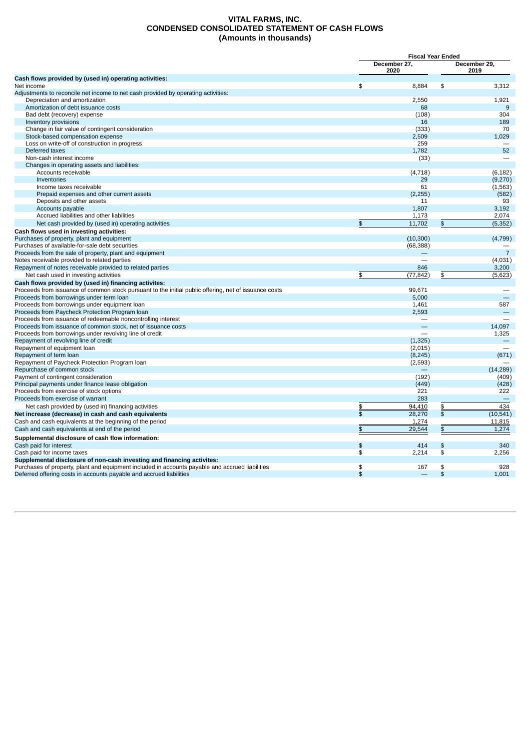#### **VITAL FARMS, INC. CONDENSED CONSOLIDATED STATEMENT OF CASH FLOWS (Amounts in thousands)**

|                                                                                                                                                                        |                      | <b>Fiscal Year Ended</b> |                         |                      |  |  |
|------------------------------------------------------------------------------------------------------------------------------------------------------------------------|----------------------|--------------------------|-------------------------|----------------------|--|--|
|                                                                                                                                                                        | December 27,<br>2020 |                          |                         | December 29,<br>2019 |  |  |
| Cash flows provided by (used in) operating activities:                                                                                                                 |                      |                          |                         |                      |  |  |
| Net income                                                                                                                                                             | \$                   | 8.884                    | \$                      | 3.312                |  |  |
| Adjustments to reconcile net income to net cash provided by operating activities:                                                                                      |                      |                          |                         |                      |  |  |
| Depreciation and amortization                                                                                                                                          |                      | 2.550                    |                         | 1.921                |  |  |
| Amortization of debt issuance costs                                                                                                                                    |                      | 68                       |                         | 9                    |  |  |
| Bad debt (recovery) expense                                                                                                                                            |                      | (108)                    |                         | 304                  |  |  |
| Inventory provisions                                                                                                                                                   |                      | 16                       |                         | 189                  |  |  |
| Change in fair value of contingent consideration                                                                                                                       |                      | (333)                    |                         | 70                   |  |  |
| Stock-based compensation expense                                                                                                                                       |                      | 2,509                    |                         | 1,029                |  |  |
| Loss on write-off of construction in progress                                                                                                                          |                      | 259                      |                         |                      |  |  |
| Deferred taxes                                                                                                                                                         |                      | 1,782                    |                         | 52                   |  |  |
| Non-cash interest income                                                                                                                                               |                      | (33)                     |                         |                      |  |  |
| Changes in operating assets and liabilities:                                                                                                                           |                      |                          |                         |                      |  |  |
| Accounts receivable                                                                                                                                                    |                      | (4,718)                  |                         | (6, 182)             |  |  |
| Inventories                                                                                                                                                            |                      | 29                       |                         | (9,270)              |  |  |
| Income taxes receivable                                                                                                                                                |                      | 61                       |                         | (1, 563)             |  |  |
| Prepaid expenses and other current assets                                                                                                                              |                      | (2, 255)                 |                         | (582)                |  |  |
| Deposits and other assets                                                                                                                                              |                      | 11                       |                         | 93                   |  |  |
| Accounts payable                                                                                                                                                       |                      | 1.807                    |                         | 3,192                |  |  |
| Accrued liabilities and other liabilities                                                                                                                              |                      | 1,173                    |                         | 2,074                |  |  |
| Net cash provided by (used in) operating activities                                                                                                                    | \$                   | 11,702                   | $\pmb{\$}$              | (5, 352)             |  |  |
| Cash flows used in investing activities:                                                                                                                               |                      |                          |                         |                      |  |  |
| Purchases of property, plant and equipment                                                                                                                             |                      | (10, 300)                |                         | (4,799)              |  |  |
| Purchases of available-for-sale debt securities                                                                                                                        |                      | (68, 388)                |                         |                      |  |  |
| Proceeds from the sale of property, plant and equipment                                                                                                                |                      |                          |                         | $\overline{7}$       |  |  |
| Notes receivable provided to related parties                                                                                                                           |                      |                          |                         | (4,031)              |  |  |
| Repayment of notes receivable provided to related parties                                                                                                              |                      | 846                      |                         | 3,200                |  |  |
| Net cash used in investing activities                                                                                                                                  | \$                   | (77, 842)                | \$                      | (5,623)              |  |  |
| Cash flows provided by (used in) financing activites:                                                                                                                  |                      |                          |                         |                      |  |  |
| Proceeds from issuance of common stock pursuant to the initial public offering, net of issuance costs                                                                  |                      | 99.671                   |                         |                      |  |  |
| Proceeds from borrowings under term loan                                                                                                                               |                      | 5,000                    |                         |                      |  |  |
| Proceeds from borrowings under equipment loan                                                                                                                          |                      | 1,461                    |                         | 587                  |  |  |
| Proceeds from Paycheck Protection Program loan                                                                                                                         |                      | 2,593                    |                         |                      |  |  |
| Proceeds from issuance of redeemable noncontrolling interest                                                                                                           |                      | $\qquad \qquad$          |                         |                      |  |  |
| Proceeds from issuance of common stock, net of issuance costs                                                                                                          |                      |                          |                         | 14,097               |  |  |
| Proceeds from borrowings under revolving line of credit                                                                                                                |                      |                          |                         | 1,325                |  |  |
| Repayment of revolving line of credit                                                                                                                                  |                      | (1, 325)                 |                         |                      |  |  |
| Repayment of equipment loan                                                                                                                                            |                      | (2,015)                  |                         |                      |  |  |
| Repayment of term loan                                                                                                                                                 |                      | (8, 245)                 |                         | (671)                |  |  |
| Repayment of Paycheck Protection Program Ioan                                                                                                                          |                      | (2,593)                  |                         |                      |  |  |
| Repurchase of common stock                                                                                                                                             |                      |                          |                         | (14, 289)            |  |  |
| Payment of contingent consideration                                                                                                                                    |                      | (192)                    |                         | (409)                |  |  |
| Principal payments under finance lease obligation                                                                                                                      |                      | (449)                    |                         | (428)                |  |  |
| Proceeds from exercise of stock options                                                                                                                                |                      | 221                      |                         | 222                  |  |  |
| Proceeds from exercise of warrant                                                                                                                                      |                      | 283                      |                         |                      |  |  |
| Net cash provided by (used in) financing activities                                                                                                                    | \$                   | 94,410                   | \$                      | 434                  |  |  |
| Net increase (decrease) in cash and cash equivalents                                                                                                                   | \$                   | 28.270                   | $\overline{\mathbf{s}}$ | (10, 541)            |  |  |
| Cash and cash equivalents at the beginning of the period                                                                                                               |                      | 1,274                    |                         | 11,815               |  |  |
|                                                                                                                                                                        | \$                   | 29,544                   |                         | 1,274                |  |  |
| Cash and cash equivalents at end of the period<br>Supplemental disclosure of cash flow information:                                                                    |                      |                          | \$                      |                      |  |  |
| Cash paid for interest                                                                                                                                                 | \$                   | 414                      | \$                      | 340                  |  |  |
| Cash paid for income taxes                                                                                                                                             | \$                   |                          | \$                      | 2.256                |  |  |
|                                                                                                                                                                        |                      | 2,214                    |                         |                      |  |  |
| Supplemental disclosure of non-cash investing and financing activites:                                                                                                 | \$                   |                          | \$                      | 928                  |  |  |
| Purchases of property, plant and equipment included in accounts payable and accrued liabilities<br>Deferred offering costs in accounts payable and accrued liabilities | \$                   | 167                      | \$                      | 1.001                |  |  |
|                                                                                                                                                                        |                      |                          |                         |                      |  |  |